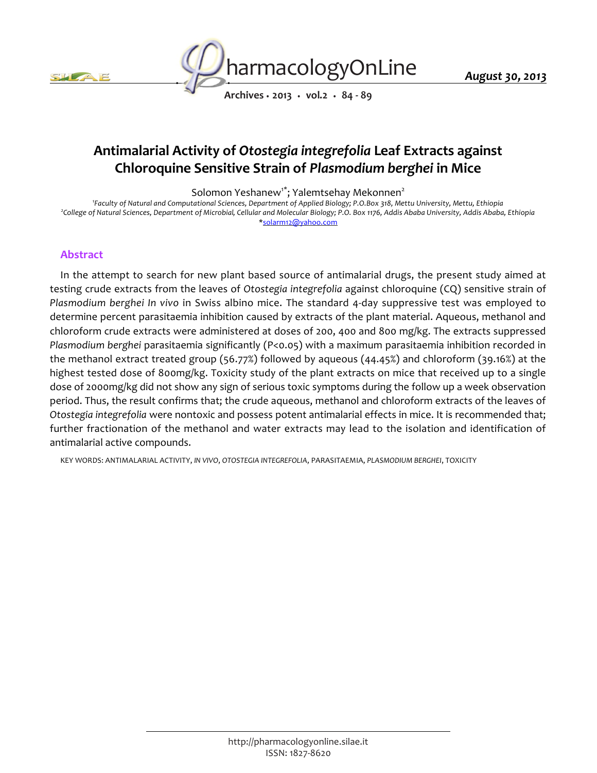



*August 30, 2013*

*Archives • 2013 • vol.2 • 84 - 89*

# *Antimalarial Activity of Otostegia integrefolia Leaf Extracts against Chloroquine Sensitive Strain of Plasmodium berghei in Mice*

*Solomon Yeshanew1\*; Yalemtsehay Mekonnen<sup>2</sup>*

*1 Faculty of Natural and Computational Sciences, Department of Applied Biology; P.O.Box 318, Mettu University, Mettu, Ethiopia 2 College of Natural Sciences, Department of Microbial, Cellular and Molecular Biology; P.O. Box 1176, Addis Ababa University, Addis Ababa, Ethiopia \*solarm12@yahoo.com*

## *Abstract*

*In the attempt to search for new plant based source of antimalarial drugs, the present study aimed at testing crude extracts from the leaves of Otostegia integrefolia against chloroquine (CQ) sensitive strain of Plasmodium berghei In vivo in Swiss albino mice. The standard 4-day suppressive test was employed to determine percent parasitaemia inhibition caused by extracts of the plant material. Aqueous, methanol and chloroform crude extracts were administered at doses of 200, 400 and 800 mg/kg. The extracts suppressed Plasmodium berghei parasitaemia significantly (P<0.05) with a maximum parasitaemia inhibition recorded in the methanol extract treated group (56.77%) followed by aqueous (44.45%) and chloroform (39.16%) at the highest tested dose of 800mg/kg. Toxicity study of the plant extracts on mice that received up to a single*  dose of 2000mg/kg did not show any sign of serious toxic symptoms during the follow up a week observation *period. Thus, the result confirms that; the crude aqueous, methanol and chloroform extracts of the leaves of Otostegia integrefolia were nontoxic and possess potent antimalarial effects in mice. It is recommended that;*  further fractionation of the methanol and water extracts may lead to the isolation and identification of *antimalarial active compounds.*

*KEY WORDS: ANTIMALARIAL ACTIVITY, IN VIVO, OTOSTEGIA INTEGREFOLIA, PARASITAEMIA, PLASMODIUM BERGHEI, TOXICITY*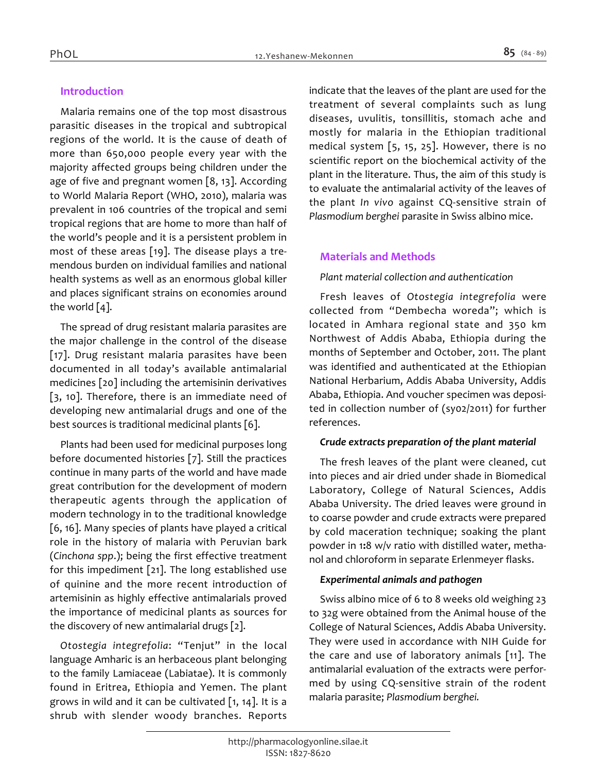# *Introduction*

*Malaria remains one of the top most disastrous parasitic diseases in the tropical and subtropical regions of the world. It is the cause of death of more than 650,000 people every year with the majority affected groups being children under the age of five and pregnant women [8, 13]. According to World Malaria Report (WHO, 2010), malaria was prevalent in 106 countries of the tropical and semi tropical regions that are home to more than half of the world's people and it is a persistent problem in most of these areas [19]. The disease plays a tremendous burden on individual families and national health systems as well as an enormous global killer and places significant strains on economies around the world [4].*

*The spread of drug resistant malaria parasites are the major challenge in the control of the disease [17]. Drug resistant malaria parasites have been documented in all today's available antimalarial medicines [20] including the artemisinin derivatives [3, 10]. Therefore, there is an immediate need of developing new antimalarial drugs and one of the best sources is traditional medicinal plants [6].*

*Plants had been used for medicinal purposes long before documented histories [7]. Still the practices continue in many parts of the world and have made great contribution for the development of modern therapeutic agents through the application of modern technology in to the traditional knowledge [6, 16]. Many species of plants have played a critical role in the history of malaria with Peruvian bark (Cinchona spp.); being the first effective treatment for this impediment [21]. The long established use of quinine and the more recent introduction of artemisinin as highly effective antimalarials proved the importance of medicinal plants as sources for the discovery of new antimalarial drugs [2].*

*Otostegia integrefolia: "Tenjut" in the local language Amharic is an herbaceous plant belonging to the family Lamiaceae (Labiatae). It is commonly found in Eritrea, Ethiopia and Yemen. The plant grows in wild and it can be cultivated [1, 14]. It is a shrub with slender woody branches. Reports*  *indicate that the leaves of the plant are used for the treatment of several complaints such as lung diseases, uvulitis, tonsillitis, stomach ache and mostly for malaria in the Ethiopian traditional medical system [5, 15, 25]. However, there is no scientific report on the biochemical activity of the plant in the literature. Thus, the aim of this study is to evaluate the antimalarial activity of the leaves of the plant In vivo against CQ-sensitive strain of Plasmodium berghei parasite in Swiss albino mice.*

#### *Materials and Methods*

#### *Plant material collection and authentication*

*Fresh leaves of Otostegia integrefolia were collected from "Dembecha woreda"; which is located in Amhara regional state and 350 km Northwest of Addis Ababa, Ethiopia during the months of September and October, 2011. The plant was identified and authenticated at the Ethiopian National Herbarium, Addis Ababa University, Addis Ababa, Ethiopia. And voucher specimen was deposited in collection number of (sy02/2011) for further references.*

#### *Crude extracts preparation of the plant material*

*The fresh leaves of the plant were cleaned, cut into pieces and air dried under shade in Biomedical Laboratory, College of Natural Sciences, Addis Ababa University. The dried leaves were ground in to coarse powder and crude extracts were prepared by cold maceration technique; soaking the plant powder in 1:8 w/v ratio with distilled water, methanol and chloroform in separate Erlenmeyer flasks.*

#### *Experimental animals and pathogen*

*Swiss albino mice of 6 to 8 weeks old weighing 23 to 32g were obtained from the Animal house of the College of Natural Sciences, Addis Ababa University. They were used in accordance with NIH Guide for the care and use of laboratory animals [11]. The antimalarial evaluation of the extracts were performed by using CQ-sensitive strain of the rodent malaria parasite; Plasmodium berghei.*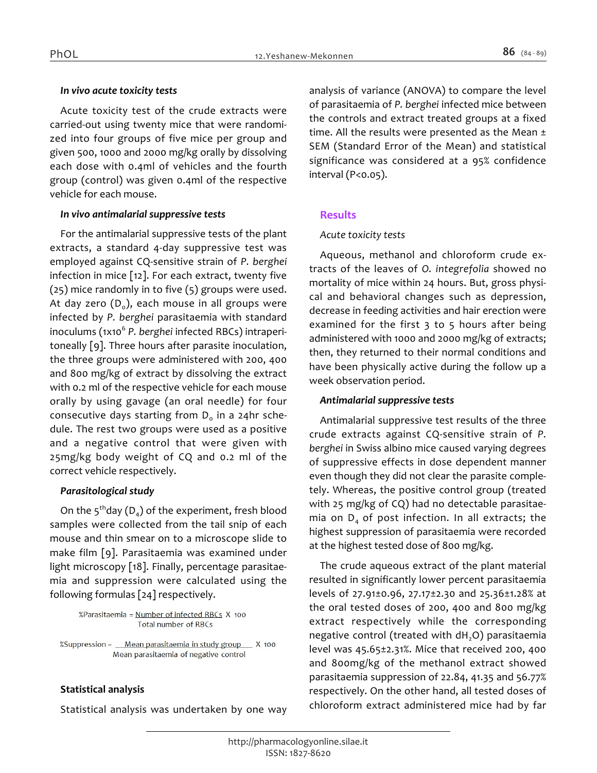#### *In vivo acute toxicity tests*

*Acute toxicity test of the crude extracts were carried-out using twenty mice that were randomized into four groups of five mice per group and given 500, 1000 and 2000 mg/kg orally by dissolving each dose with 0.4ml of vehicles and the fourth group (control) was given 0.4ml of the respective vehicle for each mouse.*

#### *In vivo antimalarial suppressive tests*

*For the antimalarial suppressive tests of the plant extracts, a standard 4-day suppressive test was employed against CQ-sensitive strain of P. berghei infection in mice [12]. For each extract, twenty five (25) mice randomly in to five (5) groups were used. At day zero (D<sup>0</sup> ), each mouse in all groups were infected by P. berghei parasitaemia with standard*  inoculums (1x10<sup>6</sup> P. berghei infected RBCs) intraperi*toneally [9]. Three hours after parasite inoculation, the three groups were administered with 200, 400 and 800 mg/kg of extract by dissolving the extract with 0.2 ml of the respective vehicle for each mouse orally by using gavage (an oral needle) for four consecutive days starting from D<sup>0</sup> in a 24hr schedule. The rest two groups were used as a positive and a negative control that were given with 25mg/kg body weight of CQ and 0.2 ml of the correct vehicle respectively.*

#### *Parasitological study*

*On the 5thday (D<sup>4</sup> ) of the experiment, fresh blood samples were collected from the tail snip of each mouse and thin smear on to a microscope slide to make film [9]. Parasitaemia was examined under light microscopy [18]. Finally, percentage parasitaemia and suppression were calculated using the following formulas [24] respectively.*

#### %Parasitaemia = Number of infected RBCs X 100 **Total number of RBCs**

%Suppression = Mean parasitaemia in study group X 100 Mean parasitaemia of negative control

# *Statistical analysis*

*Statistical analysis was undertaken by one way* 

*analysis of variance (ANOVA) to compare the level of parasitaemia of P. berghei infected mice between the controls and extract treated groups at a fixed time. All the results were presented as the Mean ± SEM (Standard Error of the Mean) and statistical significance was considered at a 95% confidence interval (P<0.05).*

## *Results*

#### *Acute toxicity tests*

*Aqueous, methanol and chloroform crude extracts of the leaves of O. integrefolia showed no mortality of mice within 24 hours. But, gross physical and behavioral changes such as depression, decrease in feeding activities and hair erection were examined for the first 3 to 5 hours after being administered with 1000 and 2000 mg/kg of extracts; then, they returned to their normal conditions and have been physically active during the follow up a week observation period.*

## *Antimalarial suppressive tests*

*Antimalarial suppressive test results of the three crude extracts against CQ-sensitive strain of P. berghei in Swiss albino mice caused varying degrees of suppressive effects in dose dependent manner even though they did not clear the parasite completely. Whereas, the positive control group (treated with 25 mg/kg of CQ) had no detectable parasitaemia on D4 of post infection. In all extracts; the highest suppression of parasitaemia were recorded at the highest tested dose of 800 mg/kg.*

*The crude aqueous extract of the plant material resulted in significantly lower percent parasitaemia levels of 27.91±0.96, 27.17±2.30 and 25.36±1.28% at the oral tested doses of 200, 400 and 800 mg/kg extract respectively while the corresponding negative control (treated with dH2O) parasitaemia level was 45.65±2.31%. Mice that received 200, 400 and 800mg/kg of the methanol extract showed parasitaemia suppression of 22.84, 41.35 and 56.77% respectively. On the other hand, all tested doses of chloroform extract administered mice had by far*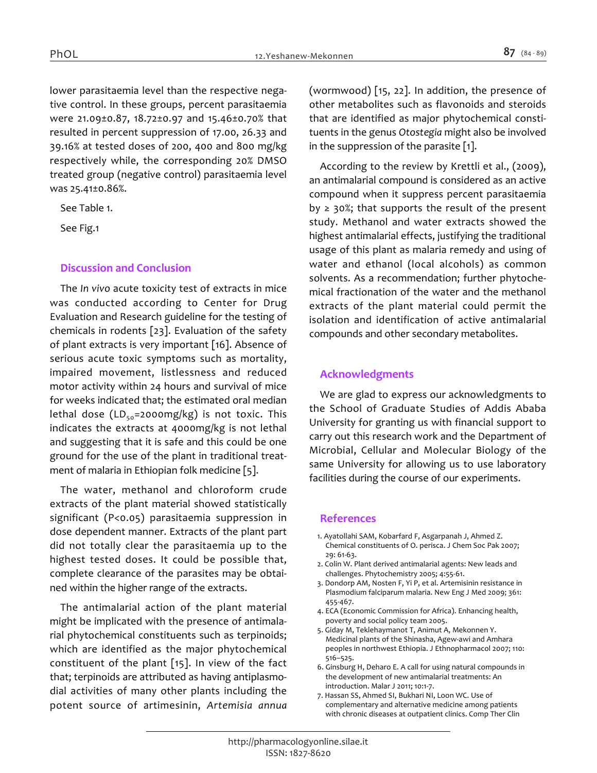*lower parasitaemia level than the respective negative control. In these groups, percent parasitaemia were 21.09±0.87, 18.72±0.97 and 15.46±0.70% that resulted in percent suppression of 17.00, 26.33 and 39.16% at tested doses of 200, 400 and 800 mg/kg respectively while, the corresponding 20% DMSO treated group (negative control) parasitaemia level was 25.41±0.86%.*

*See Table 1.*

*See Fig.1*

# *Discussion and Conclusion*

*The In vivo acute toxicity test of extracts in mice was conducted according to Center for Drug Evaluation and Research guideline for the testing of chemicals in rodents [23]. Evaluation of the safety of plant extracts is very important [16]. Absence of serious acute toxic symptoms such as mortality, impaired movement, listlessness and reduced motor activity within 24 hours and survival of mice for weeks indicated that; the estimated oral median lethal dose (LD50=2000mg/kg) is not toxic. This indicates the extracts at 4000mg/kg is not lethal and suggesting that it is safe and this could be one ground for the use of the plant in traditional treatment of malaria in Ethiopian folk medicine [5].*

*The water, methanol and chloroform crude extracts of the plant material showed statistically significant (P<0.05) parasitaemia suppression in dose dependent manner. Extracts of the plant part did not totally clear the parasitaemia up to the highest tested doses. It could be possible that, complete clearance of the parasites may be obtained within the higher range of the extracts.*

*The antimalarial action of the plant material might be implicated with the presence of antimalarial phytochemical constituents such as terpinoids; which are identified as the major phytochemical constituent of the plant [15]. In view of the fact that; terpinoids are attributed as having antiplasmodial activities of many other plants including the potent source of artimesinin, Artemisia annua* *(wormwood) [15, 22]. In addition, the presence of other metabolites such as flavonoids and steroids that are identified as major phytochemical constituents in the genus Otostegia might also be involved in the suppression of the parasite [1].*

*According to the review by Krettli et al., (2009), an antimalarial compound is considered as an active compound when it suppress percent parasitaemia by ≥ 30%; that supports the result of the present study. Methanol and water extracts showed the highest antimalarial effects, justifying the traditional usage of this plant as malaria remedy and using of water and ethanol (local alcohols) as common solvents. As a recommendation; further phytochemical fractionation of the water and the methanol extracts of the plant material could permit the isolation and identification of active antimalarial compounds and other secondary metabolites.*

# *Acknowledgments*

*We are glad to express our acknowledgments to the School of Graduate Studies of Addis Ababa University for granting us with financial support to carry out this research work and the Department of Microbial, Cellular and Molecular Biology of the same University for allowing us to use laboratory facilities during the course of our experiments.*

## *References*

- *1. Ayatollahi SAM, Kobarfard F, Asgarpanah J, Ahmed Z. Chemical constituents of O. perisca. J Chem Soc Pak 2007; 29: 61-63.*
- *2. Colin W. Plant derived antimalarial agents: New leads and challenges. Phytochemistry 2005; 4:55-61.*
- *3. Dondorp AM, Nosten F, Yi P, et al. Artemisinin resistance in Plasmodium falciparum malaria. New Eng J Med 2009; 361: 455-467.*
- *4. ECA (Economic Commission for Africa). Enhancing health, poverty and social policy team 2005.*
- *5. Giday M, Teklehaymanot T, Animut A, Mekonnen Y. Medicinal plants of the Shinasha, Agew-awi and Amhara peoples in northwest Ethiopia. J Ethnopharmacol 2007; 110: 516–525.*
- *6. Ginsburg H, Deharo E. A call for using natural compounds in the development of new antimalarial treatments: An introduction. Malar J 2011; 10:1-7.*
- *7. Hassan SS, Ahmed SI, Bukhari NI, Loon WC. Use of complementary and alternative medicine among patients with chronic diseases at outpatient clinics. Comp Ther Clin*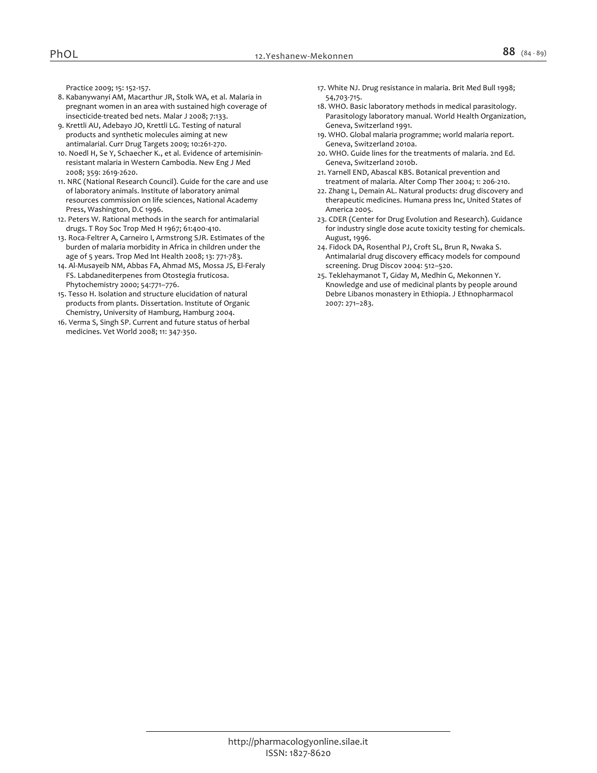*Practice 2009; 15: 152-157.*

- *8. Kabanywanyi AM, Macarthur JR, Stolk WA, et al. Malaria in pregnant women in an area with sustained high coverage of insecticide-treated bed nets. Malar J 2008; 7:133.*
- *9. Krettli AU, Adebayo JO, Krettli LG. Testing of natural products and synthetic molecules aiming at new antimalarial. Curr Drug Targets 2009; 10:261-270.*
- *10. Noedl H, Se Y, Schaecher K., et al. Evidence of artemisininresistant malaria in Western Cambodia. New Eng J Med 2008; 359: 2619-2620.*
- *11. NRC (National Research Council). Guide for the care and use of laboratory animals. Institute of laboratory animal resources commission on life sciences, National Academy Press, Washington, D.C 1996.*
- *12. Peters W. Rational methods in the search for antimalarial drugs. T Roy Soc Trop Med H 1967; 61:400-410.*
- *13. Roca-Feltrer A, Carneiro I, Armstrong SJR. Estimates of the burden of malaria morbidity in Africa in children under the age of 5 years. Trop Med Int Health 2008; 13: 771-783.*
- *14. Al-Musayeib NM, Abbas FA, Ahmad MS, Mossa JS, El-Feraly FS. Labdanediterpenes from Otostegia fruticosa. Phytochemistry 2000; 54:771–776.*
- *15. Tesso H. Isolation and structure elucidation of natural products from plants. Dissertation. Institute of Organic Chemistry, University of Hamburg, Hamburg 2004.*
- *16. Verma S, Singh SP. Current and future status of herbal medicines. Vet World 2008; 11: 347-350.*
- *17. White NJ. Drug resistance in malaria. Brit Med Bull 1998; 54,703-715.*
- *18. WHO. Basic laboratory methods in medical parasitology. Parasitology laboratory manual. World Health Organization, Geneva, Switzerland 1991.*
- *19. WHO. Global malaria programme; world malaria report. Geneva, Switzerland 2010a.*
- *20. WHO. Guide lines for the treatments of malaria. 2nd Ed. Geneva, Switzerland 2010b.*
- *21. Yarnell END, Abascal KBS. Botanical prevention and treatment of malaria. Alter Comp Ther 2004; 1: 206-210.*
- *22. Zhang L, Demain AL. Natural products: drug discovery and therapeutic medicines. Humana press Inc, United States of America 2005.*
- *23. CDER (Center for Drug Evolution and Research). Guidance for industry single dose acute toxicity testing for chemicals. August, 1996.*
- *24. Fidock DA, Rosenthal PJ, Croft SL, Brun R, Nwaka S. Antimalarial drug discovery efficacy models for compound screening. Drug Discov 2004: 512–520.*
- *25. Teklehaymanot T, Giday M, Medhin G, Mekonnen Y. Knowledge and use of medicinal plants by people around Debre Libanos monastery in Ethiopia. J Ethnopharmacol 2007: 271–283.*